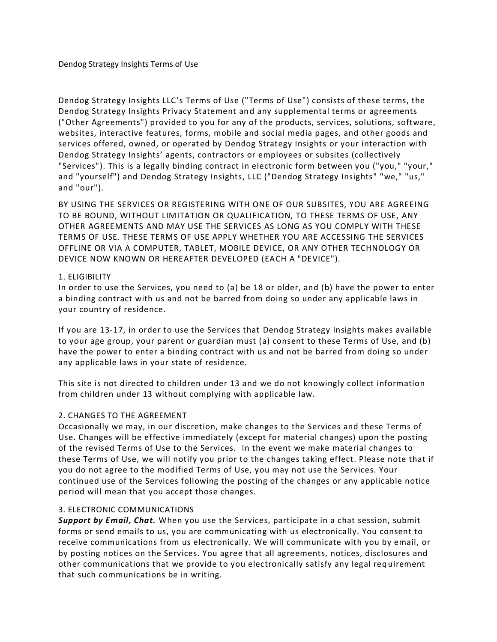Dendog Strategy Insights LLC's Terms of Use ("Terms of Use") consists of these terms, the Dendog Strategy Insights Privacy Statement and any supplemental terms or agreements ("Other Agreements") provided to you for any of the products, services, solutions, software, websites, interactive features, forms, mobile and social media pages, and other goods and services offered, owned, or operated by Dendog Strategy Insights or your interaction with Dendog Strategy Insights' agents, contractors or employees or subsites (collectively "Services"). This is a legally binding contract in electronic form between you ("you," "your," and "yourself") and Dendog Strategy Insights, LLC ("Dendog Strategy Insights" "we," "us," and "our").

BY USING THE SERVICES OR REGISTERING WITH ONE OF OUR SUBSITES, YOU ARE AGREEING TO BE BOUND, WITHOUT LIMITATION OR QUALIFICATION, TO THESE TERMS OF USE, ANY OTHER AGREEMENTS AND MAY USE THE SERVICES AS LONG AS YOU COMPLY WITH THESE TERMS OF USE. THESE TERMS OF USE APPLY WHETHER YOU ARE ACCESSING THE SERVICES OFFLINE OR VIA A COMPUTER, TABLET, MOBILE DEVICE, OR ANY OTHER TECHNOLOGY OR DEVICE NOW KNOWN OR HEREAFTER DEVELOPED (EACH A "DEVICE").

#### 1. ELIGIBILITY

In order to use the Services, you need to (a) be 18 or older, and (b) have the power to enter a binding contract with us and not be barred from doing so under any applicable laws in your country of residence.

If you are 13-17, in order to use the Services that Dendog Strategy Insights makes available to your age group, your parent or guardian must (a) consent to these Terms of Use, and (b) have the power to enter a binding contract with us and not be barred from doing so under any applicable laws in your state of residence.

This site is not directed to children under 13 and we do not knowingly collect information from children under 13 without complying with applicable law.

# 2. CHANGES TO THE AGREEMENT

Occasionally we may, in our discretion, make changes to the Services and these Terms of Use. Changes will be effective immediately (except for material changes) upon the posting of the revised Terms of Use to the Services. In the event we make material changes to these Terms of Use, we will notify you prior to the changes taking effect. Please note that if you do not agree to the modified Terms of Use, you may not use the Services. Your continued use of the Services following the posting of the changes or any applicable notice period will mean that you accept those changes.

#### 3. ELECTRONIC COMMUNICATIONS

*Support by Email, Chat.* When you use the Services, participate in a chat session, submit forms or send emails to us, you are communicating with us electronically. You consent to receive communications from us electronically. We will communicate with you by email, or by posting notices on the Services. You agree that all agreements, notices, disclosures and other communications that we provide to you electronically satisfy any legal req uirement that such communications be in writing.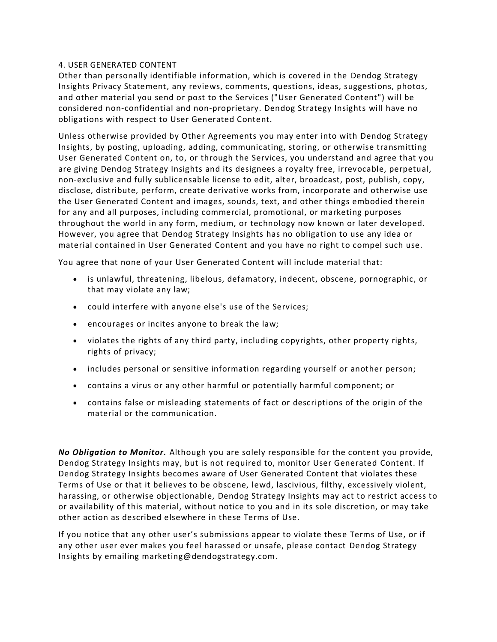### 4. USER GENERATED CONTENT

Other than personally identifiable information, which is covered in the Dendog Strategy Insights Privacy Statement, any reviews, comments, questions, ideas, suggestions, photos, and other material you send or post to the Services ("User Generated Content") will be considered non-confidential and non-proprietary. Dendog Strategy Insights will have no obligations with respect to User Generated Content.

Unless otherwise provided by Other Agreements you may enter into with Dendog Strategy Insights, by posting, uploading, adding, communicating, storing, or otherwise transmitting User Generated Content on, to, or through the Services, you understand and agree that you are giving Dendog Strategy Insights and its designees a royalty free, irrevocable, perpetual, non-exclusive and fully sublicensable license to edit, alter, broadcast, post, publish, copy, disclose, distribute, perform, create derivative works from, incorporate and otherwise use the User Generated Content and images, sounds, text, and other things embodied therein for any and all purposes, including commercial, promotional, or marketing purposes throughout the world in any form, medium, or technology now known or later developed. However, you agree that Dendog Strategy Insights has no obligation to use any idea or material contained in User Generated Content and you have no right to compel such use.

You agree that none of your User Generated Content will include material that:

- is unlawful, threatening, libelous, defamatory, indecent, obscene, pornographic, or that may violate any law;
- could interfere with anyone else's use of the Services;
- encourages or incites anyone to break the law;
- violates the rights of any third party, including copyrights, other property rights, rights of privacy;
- includes personal or sensitive information regarding yourself or another person;
- contains a virus or any other harmful or potentially harmful component; or
- contains false or misleading statements of fact or descriptions of the origin of the material or the communication.

*No Obligation to Monitor.* Although you are solely responsible for the content you provide, Dendog Strategy Insights may, but is not required to, monitor User Generated Content. If Dendog Strategy Insights becomes aware of User Generated Content that violates these Terms of Use or that it believes to be obscene, lewd, lascivious, filthy, excessively violent, harassing, or otherwise objectionable, Dendog Strategy Insights may act to restrict access to or availability of this material, without notice to you and in its sole discretion, or may take other action as described elsewhere in these Terms of Use.

If you notice that any other user's submissions appear to violate these Terms of Use, or if any other user ever makes you feel harassed or unsafe, please contact Dendog Strategy Insights by emailing marketing@dendogstrategy.com.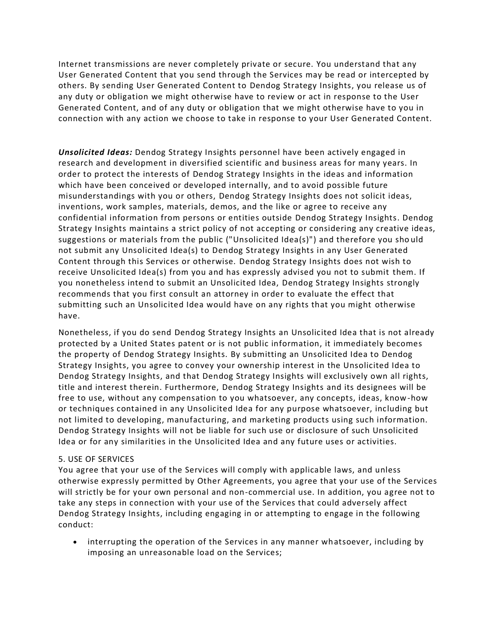Internet transmissions are never completely private or secure. You understand that any User Generated Content that you send through the Services may be read or intercepted by others. By sending User Generated Content to Dendog Strategy Insights, you release us of any duty or obligation we might otherwise have to review or act in response to the User Generated Content, and of any duty or obligation that we might otherwise have to you in connection with any action we choose to take in response to your User Generated Content.

*Unsolicited Ideas:* Dendog Strategy Insights personnel have been actively engaged in research and development in diversified scientific and business areas for many years. In order to protect the interests of Dendog Strategy Insights in the ideas and information which have been conceived or developed internally, and to avoid possible future misunderstandings with you or others, Dendog Strategy Insights does not solicit ideas, inventions, work samples, materials, demos, and the like or agree to receive any confidential information from persons or entities outside Dendog Strategy Insights. Dendog Strategy Insights maintains a strict policy of not accepting or considering any creative ideas, suggestions or materials from the public ("Unsolicited Idea(s)") and therefore you sho uld not submit any Unsolicited Idea(s) to Dendog Strategy Insights in any User Generated Content through this Services or otherwise. Dendog Strategy Insights does not wish to receive Unsolicited Idea(s) from you and has expressly advised you not to submit them. If you nonetheless intend to submit an Unsolicited Idea, Dendog Strategy Insights strongly recommends that you first consult an attorney in order to evaluate the effect that submitting such an Unsolicited Idea would have on any rights that you might otherwise have.

Nonetheless, if you do send Dendog Strategy Insights an Unsolicited Idea that is not already protected by a United States patent or is not public information, it immediately becomes the property of Dendog Strategy Insights. By submitting an Unsolicited Idea to Dendog Strategy Insights, you agree to convey your ownership interest in the Unsolicited Idea to Dendog Strategy Insights, and that Dendog Strategy Insights will exclusively own all rights, title and interest therein. Furthermore, Dendog Strategy Insights and its designees will be free to use, without any compensation to you whatsoever, any concepts, ideas, know-how or techniques contained in any Unsolicited Idea for any purpose whatsoever, including but not limited to developing, manufacturing, and marketing products using such information. Dendog Strategy Insights will not be liable for such use or disclosure of such Unsolicited Idea or for any similarities in the Unsolicited Idea and any future uses or activities.

#### 5. USE OF SERVICES

You agree that your use of the Services will comply with applicable laws, and unless otherwise expressly permitted by Other Agreements, you agree that your use of the Services will strictly be for your own personal and non-commercial use. In addition, you agree not to take any steps in connection with your use of the Services that could adversely affect Dendog Strategy Insights, including engaging in or attempting to engage in the following conduct:

• interrupting the operation of the Services in any manner whatsoever, including by imposing an unreasonable load on the Services;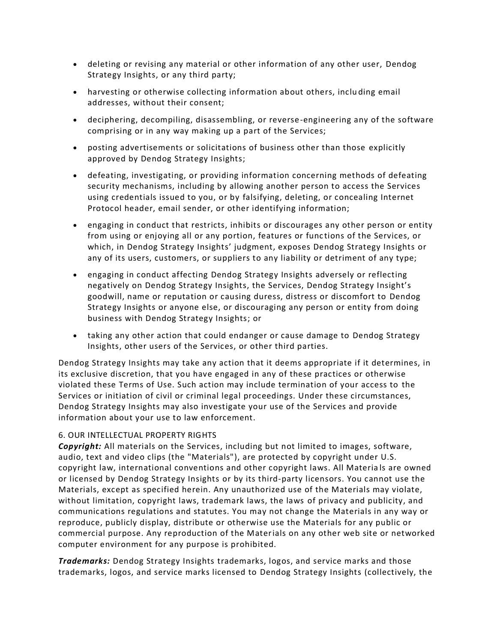- deleting or revising any material or other information of any other user, Dendog Strategy Insights, or any third party;
- harvesting or otherwise collecting information about others, inclu ding email addresses, without their consent;
- deciphering, decompiling, disassembling, or reverse-engineering any of the software comprising or in any way making up a part of the Services;
- posting advertisements or solicitations of business other than those explicitly approved by Dendog Strategy Insights;
- defeating, investigating, or providing information concerning methods of defeating security mechanisms, including by allowing another person to access the Services using credentials issued to you, or by falsifying, deleting, or concealing Internet Protocol header, email sender, or other identifying information;
- engaging in conduct that restricts, inhibits or discourages any other person or entity from using or enjoying all or any portion, features or functions of the Services, or which, in Dendog Strategy Insights' judgment, exposes Dendog Strategy Insights or any of its users, customers, or suppliers to any liability or detriment of any type;
- engaging in conduct affecting Dendog Strategy Insights adversely or reflecting negatively on Dendog Strategy Insights, the Services, Dendog Strategy Insight's goodwill, name or reputation or causing duress, distress or discomfort to Dendog Strategy Insights or anyone else, or discouraging any person or entity from doing business with Dendog Strategy Insights; or
- taking any other action that could endanger or cause damage to Dendog Strategy Insights, other users of the Services, or other third parties.

Dendog Strategy Insights may take any action that it deems appropriate if it determines, in its exclusive discretion, that you have engaged in any of these practices or otherwise violated these Terms of Use. Such action may include termination of your access to the Services or initiation of civil or criminal legal proceedings. Under these circumstances, Dendog Strategy Insights may also investigate your use of the Services and provide information about your use to law enforcement.

# 6. OUR INTELLECTUAL PROPERTY RIGHTS

*Copyright:* All materials on the Services, including but not limited to images, software, audio, text and video clips (the "Materials"), are protected by copyright under U.S. copyright law, international conventions and other copyright laws. All Materia ls are owned or licensed by Dendog Strategy Insights or by its third-party licensors. You cannot use the Materials, except as specified herein. Any unauthorized use of the Materials may violate, without limitation, copyright laws, trademark laws, the laws of privacy and publicity, and communications regulations and statutes. You may not change the Materials in any way or reproduce, publicly display, distribute or otherwise use the Materials for any public or commercial purpose. Any reproduction of the Materials on any other web site or networked computer environment for any purpose is prohibited.

*Trademarks:* Dendog Strategy Insights trademarks, logos, and service marks and those trademarks, logos, and service marks licensed to Dendog Strategy Insights (collectively, the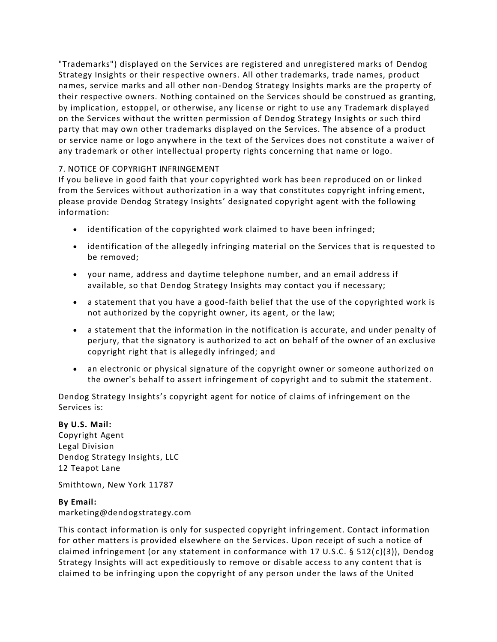"Trademarks") displayed on the Services are registered and unregistered marks of Dendog Strategy Insights or their respective owners. All other trademarks, trade names, product names, service marks and all other non-Dendog Strategy Insights marks are the property of their respective owners. Nothing contained on the Services should be construed as granting, by implication, estoppel, or otherwise, any license or right to use any Trademark displayed on the Services without the written permission of Dendog Strategy Insights or such third party that may own other trademarks displayed on the Services. The absence of a product or service name or logo anywhere in the text of the Services does not constitute a waiver of any trademark or other intellectual property rights concerning that name or logo.

# 7. NOTICE OF COPYRIGHT INFRINGEMENT

If you believe in good faith that your copyrighted work has been reproduced on or linked from the Services without authorization in a way that constitutes copyright infring ement, please provide Dendog Strategy Insights' designated copyright agent with the following information:

- identification of the copyrighted work claimed to have been infringed;
- identification of the allegedly infringing material on the Services that is re quested to be removed;
- your name, address and daytime telephone number, and an email address if available, so that Dendog Strategy Insights may contact you if necessary;
- a statement that you have a good-faith belief that the use of the copyrighted work is not authorized by the copyright owner, its agent, or the law;
- a statement that the information in the notification is accurate, and under penalty of perjury, that the signatory is authorized to act on behalf of the owner of an exclusive copyright right that is allegedly infringed; and
- an electronic or physical signature of the copyright owner or someone authorized on the owner's behalf to assert infringement of copyright and to submit the statement.

Dendog Strategy Insights's copyright agent for notice of claims of infringement on the Services is:

#### **By U.S. Mail:**

Copyright Agent Legal Division Dendog Strategy Insights, LLC 12 Teapot Lane

Smithtown, New York 11787

# **By Email:**

marketing@dendogstrategy.com

This contact information is only for suspected copyright infringement. Contact information for other matters is provided elsewhere on the Services. Upon receipt of such a notice of claimed infringement (or any statement in conformance with 17 U.S.C. § 512( $c$ )(3)), Dendog Strategy Insights will act expeditiously to remove or disable access to any content that is claimed to be infringing upon the copyright of any person under the laws of the United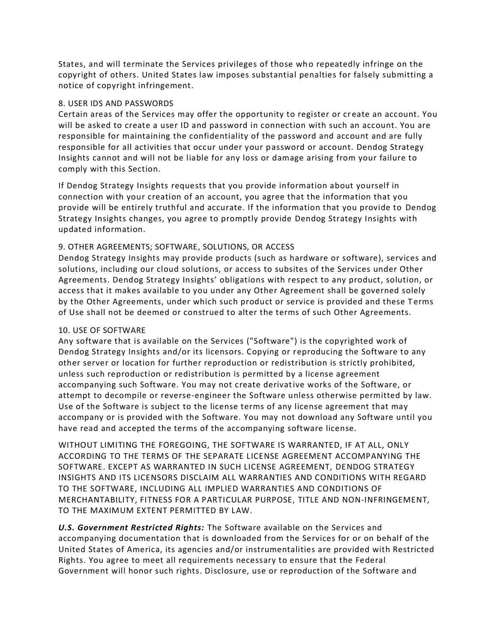States, and will terminate the Services privileges of those who repeatedly infringe on the copyright of others. United States law imposes substantial penalties for falsely submitting a notice of copyright infringement.

#### 8. USER IDS AND PASSWORDS

Certain areas of the Services may offer the opportunity to register or cr eate an account. You will be asked to create a user ID and password in connection with such an account. You are responsible for maintaining the confidentiality of the password and account and are fully responsible for all activities that occur under your password or account. Dendog Strategy Insights cannot and will not be liable for any loss or damage arising from your failure to comply with this Section.

If Dendog Strategy Insights requests that you provide information about yourself in connection with your creation of an account, you agree that the information that you provide will be entirely truthful and accurate. If the information that you provide to Dendog Strategy Insights changes, you agree to promptly provide Dendog Strategy Insights with updated information.

# 9. OTHER AGREEMENTS; SOFTWARE, SOLUTIONS, OR ACCESS

Dendog Strategy Insights may provide products (such as hardware or software), services and solutions, including our cloud solutions, or access to subsites of the Services under Other Agreements. Dendog Strategy Insights' obligations with respect to any product, solution, or access that it makes available to you under any Other Agreement shall be governed solely by the Other Agreements, under which such product or service is provided and these Terms of Use shall not be deemed or construed to alter the terms of such Other Agreements.

# 10. USE OF SOFTWARE

Any software that is available on the Services ("Software") is the copyrighted work of Dendog Strategy Insights and/or its licensors. Copying or reproducing the Software to any other server or location for further reproduction or redistribution is strictly prohibited, unless such reproduction or redistribution is permitted by a license agreement accompanying such Software. You may not create derivative works of the Software, or attempt to decompile or reverse-engineer the Software unless otherwise permitted by law. Use of the Software is subject to the license terms of any license agreement that may accompany or is provided with the Software. You may not download any Software until you have read and accepted the terms of the accompanying software license.

WITHOUT LIMITING THE FOREGOING, THE SOFTWARE IS WARRANTED, IF AT ALL, ONLY ACCORDING TO THE TERMS OF THE SEPARATE LICENSE AGREEMENT ACCOMPANYING THE SOFTWARE. EXCEPT AS WARRANTED IN SUCH LICENSE AGREEMENT, DENDOG STRATEGY INSIGHTS AND ITS LICENSORS DISCLAIM ALL WARRANTIES AND CONDITIONS WITH REGARD TO THE SOFTWARE, INCLUDING ALL IMPLIED WARRANTIES AND CONDITIONS OF MERCHANTABILITY, FITNESS FOR A PARTICULAR PURPOSE, TITLE AND NON-INFRINGEMENT, TO THE MAXIMUM EXTENT PERMITTED BY LAW.

*U.S. Government Restricted Rights:* The Software available on the Services and accompanying documentation that is downloaded from the Services for or on behalf of the United States of America, its agencies and/or instrumentalities are provided with Restricted Rights. You agree to meet all requirements necessary to ensure that the Federal Government will honor such rights. Disclosure, use or reproduction of the Software and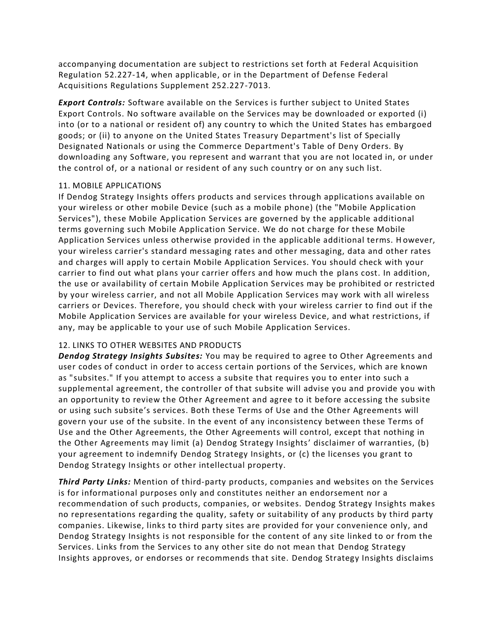accompanying documentation are subject to restrictions set forth at Federal Acquisition Regulation 52.227-14, when applicable, or in the Department of Defense Federal Acquisitions Regulations Supplement 252.227-7013.

*Export Controls:* Software available on the Services is further subject to United States Export Controls. No software available on the Services may be downloaded or exported (i) into (or to a national or resident of) any country to which the United States has embargoed goods; or (ii) to anyone on the United States Treasury Department's list of Specially Designated Nationals or using the Commerce Department's Table of Deny Orders. By downloading any Software, you represent and warrant that you are not located in, or under the control of, or a national or resident of any such country or on any such list.

### 11. MOBILE APPLICATIONS

If Dendog Strategy Insights offers products and services through applications available on your wireless or other mobile Device (such as a mobile phone) (the "Mobile Application Services"), these Mobile Application Services are governed by the applicable additional terms governing such Mobile Application Service. We do not charge for these Mobile Application Services unless otherwise provided in the applicable additional terms. H owever, your wireless carrier's standard messaging rates and other messaging, data and other rates and charges will apply to certain Mobile Application Services. You should check with your carrier to find out what plans your carrier offers and how much the plans cost. In addition, the use or availability of certain Mobile Application Services may be prohibited or restricted by your wireless carrier, and not all Mobile Application Services may work with all wireless carriers or Devices. Therefore, you should check with your wireless carrier to find out if the Mobile Application Services are available for your wireless Device, and what restrictions, if any, may be applicable to your use of such Mobile Application Services.

# 12. LINKS TO OTHER WEBSITES AND PRODUCTS

*Dendog Strategy Insights Subsites:* You may be required to agree to Other Agreements and user codes of conduct in order to access certain portions of the Services, which are known as "subsites." If you attempt to access a subsite that requires you to enter into such a supplemental agreement, the controller of that subsite will advise you and provide you with an opportunity to review the Other Agreement and agree to it before accessing the subsite or using such subsite's services. Both these Terms of Use and the Other Agreements will govern your use of the subsite. In the event of any inconsistency between these Terms of Use and the Other Agreements, the Other Agreements will control, except that nothing in the Other Agreements may limit (a) Dendog Strategy Insights' disclaimer of warranties, (b) your agreement to indemnify Dendog Strategy Insights, or (c) the licenses you grant to Dendog Strategy Insights or other intellectual property.

*Third Party Links:* Mention of third-party products, companies and websites on the Services is for informational purposes only and constitutes neither an endorsement nor a recommendation of such products, companies, or websites. Dendog Strategy Insights makes no representations regarding the quality, safety or suitability of any products by third party companies. Likewise, links to third party sites are provided for your convenience only, and Dendog Strategy Insights is not responsible for the content of any site linked to or from the Services. Links from the Services to any other site do not mean that Dendog Strategy Insights approves, or endorses or recommends that site. Dendog Strategy Insights disclaims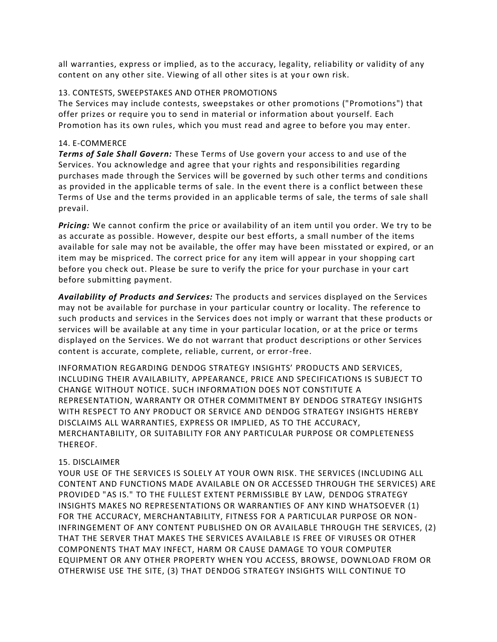all warranties, express or implied, as to the accuracy, legality, reliability or validity of any content on any other site. Viewing of all other sites is at your own risk.

### 13. CONTESTS, SWEEPSTAKES AND OTHER PROMOTIONS

The Services may include contests, sweepstakes or other promotions ("Promotions") that offer prizes or require you to send in material or information about yourself. Each Promotion has its own rules, which you must read and agree to before you may enter.

### 14. E-COMMERCE

*Terms of Sale Shall Govern:* These Terms of Use govern your access to and use of the Services. You acknowledge and agree that your rights and responsibilities regarding purchases made through the Services will be governed by such other terms and conditions as provided in the applicable terms of sale. In the event there is a conflict between these Terms of Use and the terms provided in an applicable terms of sale, the terms of sale shall prevail.

*Pricing:* We cannot confirm the price or availability of an item until you order. We try to be as accurate as possible. However, despite our best efforts, a small number of the items available for sale may not be available, the offer may have been misstated or expired, or an item may be mispriced. The correct price for any item will appear in your shopping cart before you check out. Please be sure to verify the price for your purchase in your cart before submitting payment.

*Availability of Products and Services:* The products and services displayed on the Services may not be available for purchase in your particular country or locality. The reference to such products and services in the Services does not imply or warrant that these products or services will be available at any time in your particular location, or at the price or terms displayed on the Services. We do not warrant that product descriptions or other Services content is accurate, complete, reliable, current, or error-free.

INFORMATION REGARDING DENDOG STRATEGY INSIGHTS' PRODUCTS AND SERVICES, INCLUDING THEIR AVAILABILITY, APPEARANCE, PRICE AND SPECIFICATIONS IS SUBJECT TO CHANGE WITHOUT NOTICE. SUCH INFORMATION DOES NOT CONSTITUTE A REPRESENTATION, WARRANTY OR OTHER COMMITMENT BY DENDOG STRATEGY INSIGHTS WITH RESPECT TO ANY PRODUCT OR SERVICE AND DENDOG STRATEGY INSIGHTS HEREBY DISCLAIMS ALL WARRANTIES, EXPRESS OR IMPLIED, AS TO THE ACCURACY, MERCHANTABILITY, OR SUITABILITY FOR ANY PARTICULAR PURPOSE OR COMPLETENESS THEREOF.

# 15. DISCLAIMER

YOUR USE OF THE SERVICES IS SOLELY AT YOUR OWN RISK. THE SERVICES (INCLUDING ALL CONTENT AND FUNCTIONS MADE AVAILABLE ON OR ACCESSED THROUGH THE SERVICES) ARE PROVIDED "AS IS." TO THE FULLEST EXTENT PERMISSIBLE BY LAW, DENDOG STRATEGY INSIGHTS MAKES NO REPRESENTATIONS OR WARRANTIES OF ANY KIND WHATSOEVER (1) FOR THE ACCURACY, MERCHANTABILITY, FITNESS FOR A PARTICULAR PURPOSE OR NON-INFRINGEMENT OF ANY CONTENT PUBLISHED ON OR AVAILABLE THROUGH THE SERVICES, (2) THAT THE SERVER THAT MAKES THE SERVICES AVAILABLE IS FREE OF VIRUSES OR OTHER COMPONENTS THAT MAY INFECT, HARM OR CAUSE DAMAGE TO YOUR COMPUTER EQUIPMENT OR ANY OTHER PROPERTY WHEN YOU ACCESS, BROWSE, DOWNLOAD FROM OR OTHERWISE USE THE SITE, (3) THAT DENDOG STRATEGY INSIGHTS WILL CONTINUE TO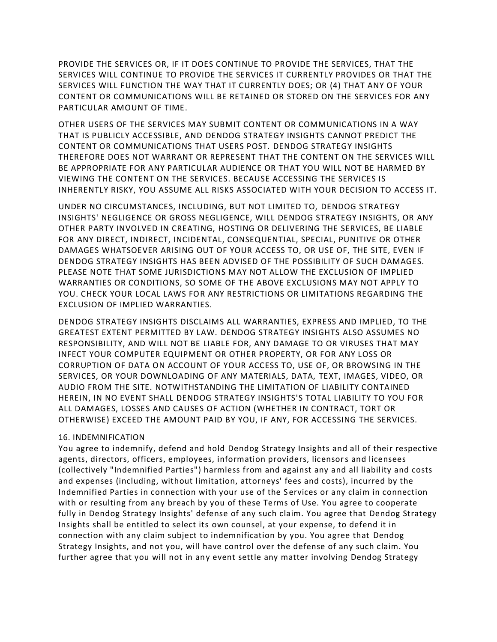PROVIDE THE SERVICES OR, IF IT DOES CONTINUE TO PROVIDE THE SERVICES, THAT THE SERVICES WILL CONTINUE TO PROVIDE THE SERVICES IT CURRENTLY PROVIDES OR THAT THE SERVICES WILL FUNCTION THE WAY THAT IT CURRENTLY DOES; OR (4) THAT ANY OF YOUR CONTENT OR COMMUNICATIONS WILL BE RETAINED OR STORED ON THE SERVICES FOR ANY PARTICULAR AMOUNT OF TIME.

OTHER USERS OF THE SERVICES MAY SUBMIT CONTENT OR COMMUNICATIONS IN A WAY THAT IS PUBLICLY ACCESSIBLE, AND DENDOG STRATEGY INSIGHTS CANNOT PREDICT THE CONTENT OR COMMUNICATIONS THAT USERS POST. DENDOG STRATEGY INSIGHTS THEREFORE DOES NOT WARRANT OR REPRESENT THAT THE CONTENT ON THE SERVICES WILL BE APPROPRIATE FOR ANY PARTICULAR AUDIENCE OR THAT YOU WILL NOT BE HARMED BY VIEWING THE CONTENT ON THE SERVICES. BECAUSE ACCESSING THE SERVICES IS INHERENTLY RISKY, YOU ASSUME ALL RISKS ASSOCIATED WITH YOUR DECISION TO ACCESS IT.

UNDER NO CIRCUMSTANCES, INCLUDING, BUT NOT LIMITED TO, DENDOG STRATEGY INSIGHTS' NEGLIGENCE OR GROSS NEGLIGENCE, WILL DENDOG STRATEGY INSIGHTS, OR ANY OTHER PARTY INVOLVED IN CREATING, HOSTING OR DELIVERING THE SERVICES, BE LIABLE FOR ANY DIRECT, INDIRECT, INCIDENTAL, CONSEQUENTIAL, SPECIAL, PUNITIVE OR OTHER DAMAGES WHATSOEVER ARISING OUT OF YOUR ACCESS TO, OR USE OF, THE SITE, EVEN IF DENDOG STRATEGY INSIGHTS HAS BEEN ADVISED OF THE POSSIBILITY OF SUCH DAMAGES. PLEASE NOTE THAT SOME JURISDICTIONS MAY NOT ALLOW THE EXCLUSION OF IMPLIED WARRANTIES OR CONDITIONS, SO SOME OF THE ABOVE EXCLUSIONS MAY NOT APPLY TO YOU. CHECK YOUR LOCAL LAWS FOR ANY RESTRICTIONS OR LIMITATIONS REGARDING THE EXCLUSION OF IMPLIED WARRANTIES.

DENDOG STRATEGY INSIGHTS DISCLAIMS ALL WARRANTIES, EXPRESS AND IMPLIED, TO THE GREATEST EXTENT PERMITTED BY LAW. DENDOG STRATEGY INSIGHTS ALSO ASSUMES NO RESPONSIBILITY, AND WILL NOT BE LIABLE FOR, ANY DAMAGE TO OR VIRUSES THAT MAY INFECT YOUR COMPUTER EQUIPMENT OR OTHER PROPERTY, OR FOR ANY LOSS OR CORRUPTION OF DATA ON ACCOUNT OF YOUR ACCESS TO, USE OF, OR BROWSING IN THE SERVICES, OR YOUR DOWNLOADING OF ANY MATERIALS, DATA, TEXT, IMAGES, VIDEO, OR AUDIO FROM THE SITE. NOTWITHSTANDING THE LIMITATION OF LIABILITY CONTAINED HEREIN, IN NO EVENT SHALL DENDOG STRATEGY INSIGHTS'S TOTAL LIABILITY TO YOU FOR ALL DAMAGES, LOSSES AND CAUSES OF ACTION (WHETHER IN CONTRACT, TORT OR OTHERWISE) EXCEED THE AMOUNT PAID BY YOU, IF ANY, FOR ACCESSING THE SERVICES.

#### 16. INDEMNIFICATION

You agree to indemnify, defend and hold Dendog Strategy Insights and all of their respective agents, directors, officers, employees, information providers, licensors and licensees (collectively "Indemnified Parties") harmless from and against any and all liability and costs and expenses (including, without limitation, attorneys' fees and costs), incurred by the Indemnified Parties in connection with your use of the Services or any claim in connection with or resulting from any breach by you of these Terms of Use. You agree to cooperate fully in Dendog Strategy Insights' defense of any such claim. You agree that Dendog Strategy Insights shall be entitled to select its own counsel, at your expense, to defend it in connection with any claim subject to indemnification by you. You agree that Dendog Strategy Insights, and not you, will have control over the defense of any such claim. You further agree that you will not in any event settle any matter involving Dendog Strategy